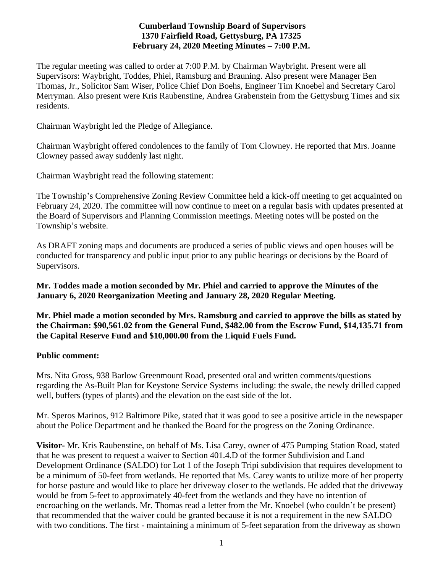# **Cumberland Township Board of Supervisors 1370 Fairfield Road, Gettysburg, PA 17325 February 24, 2020 Meeting Minutes – 7:00 P.M.**

The regular meeting was called to order at 7:00 P.M. by Chairman Waybright. Present were all Supervisors: Waybright, Toddes, Phiel, Ramsburg and Brauning. Also present were Manager Ben Thomas, Jr., Solicitor Sam Wiser, Police Chief Don Boehs, Engineer Tim Knoebel and Secretary Carol Merryman. Also present were Kris Raubenstine, Andrea Grabenstein from the Gettysburg Times and six residents.

Chairman Waybright led the Pledge of Allegiance.

Chairman Waybright offered condolences to the family of Tom Clowney. He reported that Mrs. Joanne Clowney passed away suddenly last night.

Chairman Waybright read the following statement:

The Township's Comprehensive Zoning Review Committee held a kick-off meeting to get acquainted on February 24, 2020. The committee will now continue to meet on a regular basis with updates presented at the Board of Supervisors and Planning Commission meetings. Meeting notes will be posted on the Township's website.

As DRAFT zoning maps and documents are produced a series of public views and open houses will be conducted for transparency and public input prior to any public hearings or decisions by the Board of Supervisors.

**Mr. Toddes made a motion seconded by Mr. Phiel and carried to approve the Minutes of the January 6, 2020 Reorganization Meeting and January 28, 2020 Regular Meeting.**

**Mr. Phiel made a motion seconded by Mrs. Ramsburg and carried to approve the bills as stated by the Chairman: \$90,561.02 from the General Fund, \$482.00 from the Escrow Fund, \$14,135.71 from the Capital Reserve Fund and \$10,000.00 from the Liquid Fuels Fund.** 

#### **Public comment:**

Mrs. Nita Gross, 938 Barlow Greenmount Road, presented oral and written comments/questions regarding the As-Built Plan for Keystone Service Systems including: the swale, the newly drilled capped well, buffers (types of plants) and the elevation on the east side of the lot.

Mr. Speros Marinos, 912 Baltimore Pike, stated that it was good to see a positive article in the newspaper about the Police Department and he thanked the Board for the progress on the Zoning Ordinance.

**Visitor-** Mr. Kris Raubenstine, on behalf of Ms. Lisa Carey, owner of 475 Pumping Station Road, stated that he was present to request a waiver to Section 401.4.D of the former Subdivision and Land Development Ordinance (SALDO) for Lot 1 of the Joseph Tripi subdivision that requires development to be a minimum of 50-feet from wetlands. He reported that Ms. Carey wants to utilize more of her property for horse pasture and would like to place her driveway closer to the wetlands. He added that the driveway would be from 5-feet to approximately 40-feet from the wetlands and they have no intention of encroaching on the wetlands. Mr. Thomas read a letter from the Mr. Knoebel (who couldn't be present) that recommended that the waiver could be granted because it is not a requirement in the new SALDO with two conditions. The first - maintaining a minimum of 5-feet separation from the driveway as shown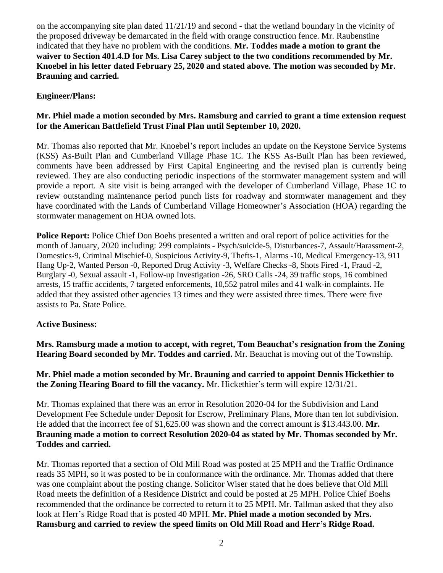on the accompanying site plan dated 11/21/19 and second - that the wetland boundary in the vicinity of the proposed driveway be demarcated in the field with orange construction fence. Mr. Raubenstine indicated that they have no problem with the conditions. **Mr. Toddes made a motion to grant the waiver to Section 401.4.D for Ms. Lisa Carey subject to the two conditions recommended by Mr. Knoebel in his letter dated February 25, 2020 and stated above. The motion was seconded by Mr. Brauning and carried.**

# **Engineer/Plans:**

## **Mr. Phiel made a motion seconded by Mrs. Ramsburg and carried to grant a time extension request for the American Battlefield Trust Final Plan until September 10, 2020.**

Mr. Thomas also reported that Mr. Knoebel's report includes an update on the Keystone Service Systems (KSS) As-Built Plan and Cumberland Village Phase 1C. The KSS As-Built Plan has been reviewed, comments have been addressed by First Capital Engineering and the revised plan is currently being reviewed. They are also conducting periodic inspections of the stormwater management system and will provide a report. A site visit is being arranged with the developer of Cumberland Village, Phase 1C to review outstanding maintenance period punch lists for roadway and stormwater management and they have coordinated with the Lands of Cumberland Village Homeowner's Association (HOA) regarding the stormwater management on HOA owned lots.

**Police Report:** Police Chief Don Boehs presented a written and oral report of police activities for the month of January, 2020 including: 299 complaints - Psych/suicide-5, Disturbances-7, Assault/Harassment-2, Domestics-9, Criminal Mischief-0, Suspicious Activity-9, Thefts-1, Alarms -10, Medical Emergency-13, 911 Hang Up-2, Wanted Person -0, Reported Drug Activity -3, Welfare Checks -8, Shots Fired -1, Fraud -2, Burglary -0, Sexual assault -1, Follow-up Investigation -26, SRO Calls -24, 39 traffic stops, 16 combined arrests, 15 traffic accidents, 7 targeted enforcements, 10,552 patrol miles and 41 walk-in complaints. He added that they assisted other agencies 13 times and they were assisted three times. There were five assists to Pa. State Police.

#### **Active Business:**

**Mrs. Ramsburg made a motion to accept, with regret, Tom Beauchat's resignation from the Zoning Hearing Board seconded by Mr. Toddes and carried.** Mr. Beauchat is moving out of the Township.

**Mr. Phiel made a motion seconded by Mr. Brauning and carried to appoint Dennis Hickethier to the Zoning Hearing Board to fill the vacancy.** Mr. Hickethier's term will expire 12/31/21.

Mr. Thomas explained that there was an error in Resolution 2020-04 for the Subdivision and Land Development Fee Schedule under Deposit for Escrow, Preliminary Plans, More than ten lot subdivision. He added that the incorrect fee of \$1,625.00 was shown and the correct amount is \$13.443.00. **Mr. Brauning made a motion to correct Resolution 2020-04 as stated by Mr. Thomas seconded by Mr. Toddes and carried.**

Mr. Thomas reported that a section of Old Mill Road was posted at 25 MPH and the Traffic Ordinance reads 35 MPH, so it was posted to be in conformance with the ordinance. Mr. Thomas added that there was one complaint about the posting change. Solicitor Wiser stated that he does believe that Old Mill Road meets the definition of a Residence District and could be posted at 25 MPH. Police Chief Boehs recommended that the ordinance be corrected to return it to 25 MPH. Mr. Tallman asked that they also look at Herr's Ridge Road that is posted 40 MPH. **Mr. Phiel made a motion seconded by Mrs. Ramsburg and carried to review the speed limits on Old Mill Road and Herr's Ridge Road.**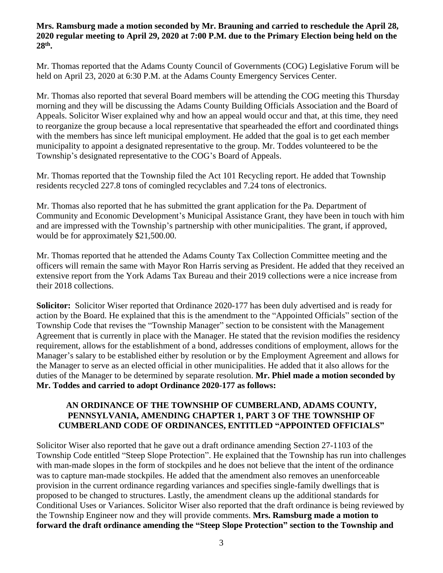## **Mrs. Ramsburg made a motion seconded by Mr. Brauning and carried to reschedule the April 28, 2020 regular meeting to April 29, 2020 at 7:00 P.M. due to the Primary Election being held on the 28th .**

Mr. Thomas reported that the Adams County Council of Governments (COG) Legislative Forum will be held on April 23, 2020 at 6:30 P.M. at the Adams County Emergency Services Center.

Mr. Thomas also reported that several Board members will be attending the COG meeting this Thursday morning and they will be discussing the Adams County Building Officials Association and the Board of Appeals. Solicitor Wiser explained why and how an appeal would occur and that, at this time, they need to reorganize the group because a local representative that spearheaded the effort and coordinated things with the members has since left municipal employment. He added that the goal is to get each member municipality to appoint a designated representative to the group. Mr. Toddes volunteered to be the Township's designated representative to the COG's Board of Appeals.

Mr. Thomas reported that the Township filed the Act 101 Recycling report. He added that Township residents recycled 227.8 tons of comingled recyclables and 7.24 tons of electronics.

Mr. Thomas also reported that he has submitted the grant application for the Pa. Department of Community and Economic Development's Municipal Assistance Grant, they have been in touch with him and are impressed with the Township's partnership with other municipalities. The grant, if approved, would be for approximately \$21,500.00.

Mr. Thomas reported that he attended the Adams County Tax Collection Committee meeting and the officers will remain the same with Mayor Ron Harris serving as President. He added that they received an extensive report from the York Adams Tax Bureau and their 2019 collections were a nice increase from their 2018 collections.

**Solicitor:** Solicitor Wiser reported that Ordinance 2020-177 has been duly advertised and is ready for action by the Board. He explained that this is the amendment to the "Appointed Officials" section of the Township Code that revises the "Township Manager" section to be consistent with the Management Agreement that is currently in place with the Manager. He stated that the revision modifies the residency requirement, allows for the establishment of a bond, addresses conditions of employment, allows for the Manager's salary to be established either by resolution or by the Employment Agreement and allows for the Manager to serve as an elected official in other municipalities. He added that it also allows for the duties of the Manager to be determined by separate resolution. **Mr. Phiel made a motion seconded by Mr. Toddes and carried to adopt Ordinance 2020-177 as follows:**

## **AN ORDINANCE OF THE TOWNSHIP OF CUMBERLAND, ADAMS COUNTY, PENNSYLVANIA, AMENDING CHAPTER 1, PART 3 OF THE TOWNSHIP OF CUMBERLAND CODE OF ORDINANCES, ENTITLED "APPOINTED OFFICIALS"**

Solicitor Wiser also reported that he gave out a draft ordinance amending Section 27-1103 of the Township Code entitled "Steep Slope Protection". He explained that the Township has run into challenges with man-made slopes in the form of stockpiles and he does not believe that the intent of the ordinance was to capture man-made stockpiles. He added that the amendment also removes an unenforceable provision in the current ordinance regarding variances and specifies single-family dwellings that is proposed to be changed to structures. Lastly, the amendment cleans up the additional standards for Conditional Uses or Variances. Solicitor Wiser also reported that the draft ordinance is being reviewed by the Township Engineer now and they will provide comments. **Mrs. Ramsburg made a motion to forward the draft ordinance amending the "Steep Slope Protection" section to the Township and**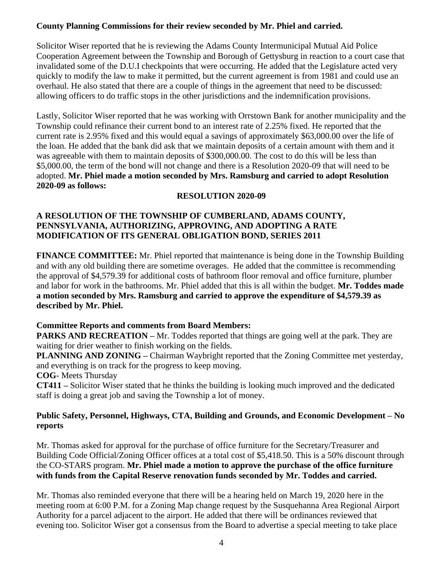# **County Planning Commissions for their review seconded by Mr. Phiel and carried.**

Solicitor Wiser reported that he is reviewing the Adams County Intermunicipal Mutual Aid Police Cooperation Agreement between the Township and Borough of Gettysburg in reaction to a court case that invalidated some of the D.U.I checkpoints that were occurring. He added that the Legislature acted very quickly to modify the law to make it permitted, but the current agreement is from 1981 and could use an overhaul. He also stated that there are a couple of things in the agreement that need to be discussed: allowing officers to do traffic stops in the other jurisdictions and the indemnification provisions.

Lastly, Solicitor Wiser reported that he was working with Orrstown Bank for another municipality and the Township could refinance their current bond to an interest rate of 2.25% fixed. He reported that the current rate is 2.95% fixed and this would equal a savings of approximately \$63,000.00 over the life of the loan. He added that the bank did ask that we maintain deposits of a certain amount with them and it was agreeable with them to maintain deposits of \$300,000.00. The cost to do this will be less than \$5,000.00, the term of the bond will not change and there is a Resolution 2020-09 that will need to be adopted. **Mr. Phiel made a motion seconded by Mrs. Ramsburg and carried to adopt Resolution 2020-09 as follows:**

# **RESOLUTION 2020-09**

# **A RESOLUTION OF THE TOWNSHIP OF CUMBERLAND, ADAMS COUNTY, PENNSYLVANIA, AUTHORIZING, APPROVING, AND ADOPTING A RATE MODIFICATION OF ITS GENERAL OBLIGATION BOND, SERIES 2011**

**FINANCE COMMITTEE:** Mr. Phiel reported that maintenance is being done in the Township Building and with any old building there are sometime overages. He added that the committee is recommending the approval of \$4,579.39 for additional costs of bathroom floor removal and office furniture, plumber and labor for work in the bathrooms. Mr. Phiel added that this is all within the budget. **Mr. Toddes made a motion seconded by Mrs. Ramsburg and carried to approve the expenditure of \$4,579.39 as described by Mr. Phiel.** 

# **Committee Reports and comments from Board Members:**

**PARKS AND RECREATION –** Mr. Toddes reported that things are going well at the park. They are waiting for drier weather to finish working on the fields.

**PLANNING AND ZONING –** Chairman Waybright reported that the Zoning Committee met yesterday, and everything is on track for the progress to keep moving.

**COG**- Meets Thursday

**CT411 –** Solicitor Wiser stated that he thinks the building is looking much improved and the dedicated staff is doing a great job and saving the Township a lot of money.

# **Public Safety, Personnel, Highways, CTA, Building and Grounds, and Economic Development – No reports**

Mr. Thomas asked for approval for the purchase of office furniture for the Secretary/Treasurer and Building Code Official/Zoning Officer offices at a total cost of \$5,418.50. This is a 50% discount through the CO-STARS program. **Mr. Phiel made a motion to approve the purchase of the office furniture with funds from the Capital Reserve renovation funds seconded by Mr. Toddes and carried.**

Mr. Thomas also reminded everyone that there will be a hearing held on March 19, 2020 here in the meeting room at 6:00 P.M. for a Zoning Map change request by the Susquehanna Area Regional Airport Authority for a parcel adjacent to the airport. He added that there will be ordinances reviewed that evening too. Solicitor Wiser got a consensus from the Board to advertise a special meeting to take place